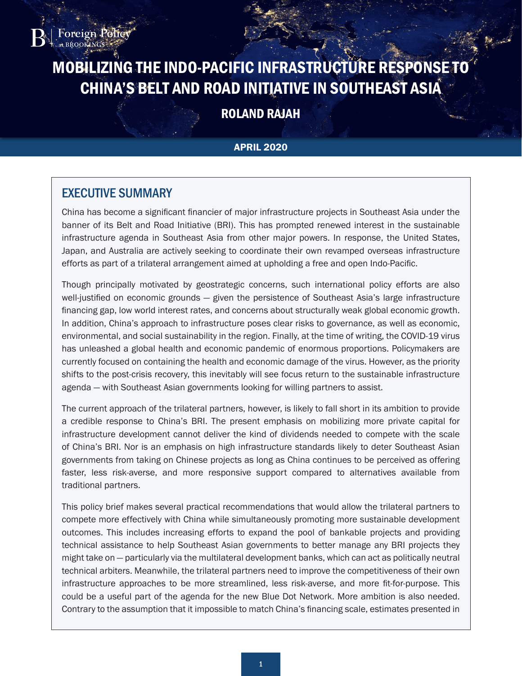

# MOBILIZING THE INDO-PACIFIC INFRASTRUCTURE RESPONSE TO CHINA'S BELT AND ROAD INITIATIVE IN SOUTHEAST ASIA

## ROLAND RAJAH

### APRIL 2020

## EXECUTIVE SUMMARY

China has become a significant financier of major infrastructure projects in Southeast Asia under the banner of its Belt and Road Initiative (BRI). This has prompted renewed interest in the sustainable infrastructure agenda in Southeast Asia from other major powers. In response, the United States, Japan, and Australia are actively seeking to coordinate their own revamped overseas infrastructure efforts as part of a trilateral arrangement aimed at upholding a free and open Indo-Pacific.

Though principally motivated by geostrategic concerns, such international policy efforts are also well-justified on economic grounds — given the persistence of Southeast Asia's large infrastructure financing gap, low world interest rates, and concerns about structurally weak global economic growth. In addition, China's approach to infrastructure poses clear risks to governance, as well as economic, environmental, and social sustainability in the region. Finally, at the time of writing, the COVID-19 virus has unleashed a global health and economic pandemic of enormous proportions. Policymakers are currently focused on containing the health and economic damage of the virus. However, as the priority shifts to the post-crisis recovery, this inevitably will see focus return to the sustainable infrastructure agenda — with Southeast Asian governments looking for willing partners to assist.

The current approach of the trilateral partners, however, is likely to fall short in its ambition to provide a credible response to China's BRI. The present emphasis on mobilizing more private capital for infrastructure development cannot deliver the kind of dividends needed to compete with the scale of China's BRI. Nor is an emphasis on high infrastructure standards likely to deter Southeast Asian governments from taking on Chinese projects as long as China continues to be perceived as offering faster, less risk-averse, and more responsive support compared to alternatives available from traditional partners.

This policy brief makes several practical recommendations that would allow the trilateral partners to compete more effectively with China while simultaneously promoting more sustainable development outcomes. This includes increasing efforts to expand the pool of bankable projects and providing technical assistance to help Southeast Asian governments to better manage any BRI projects they might take on — particularly via the multilateral development banks, which can act as politically neutral technical arbiters. Meanwhile, the trilateral partners need to improve the competitiveness of their own infrastructure approaches to be more streamlined, less risk-averse, and more fit-for-purpose. This could be a useful part of the agenda for the new Blue Dot Network. More ambition is also needed. Contrary to the assumption that it impossible to match China's financing scale, estimates presented in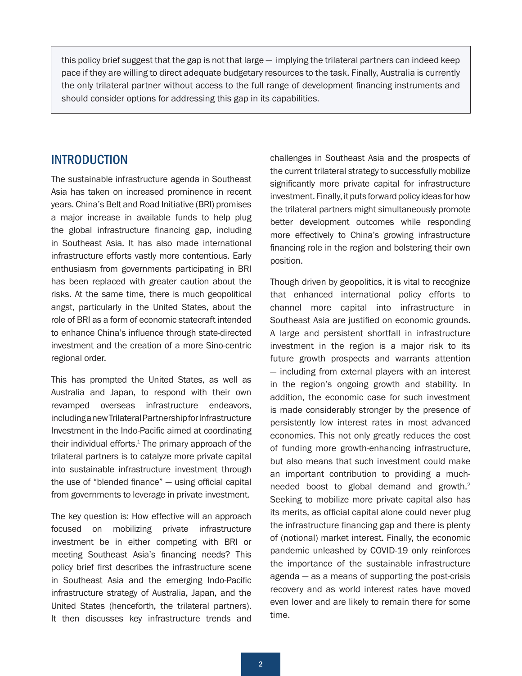<span id="page-1-0"></span>this policy brief suggest that the gap is not that large — implying the trilateral partners can indeed keep pace if they are willing to direct adequate budgetary resources to the task. Finally, Australia is currently the only trilateral partner without access to the full range of development financing instruments and should consider options for addressing this gap in its capabilities.

### INTRODUCTION

The sustainable infrastructure agenda in Southeast Asia has taken on increased prominence in recent years. China's Belt and Road Initiative (BRI) promises a major increase in available funds to help plug the global infrastructure financing gap, including in Southeast Asia. It has also made international infrastructure efforts vastly more contentious. Early enthusiasm from governments participating in BRI has been replaced with greater caution about the risks. At the same time, there is much geopolitical angst, particularly in the United States, about the role of BRI as a form of economic statecraft intended to enhance China's influence through state-directed investment and the creation of a more Sino-centric regional order.

This has prompted the United States, as well as Australia and Japan, to respond with their own revamped overseas infrastructure endeavors, including a new Trilateral Partnership for Infrastructure Investment in the Indo-Pacific aimed at coordinating their individual efforts. $1$  The primary approach of the trilateral partners is to catalyze more private capital into sustainable infrastructure investment through the use of "blended finance" — using official capital from governments to leverage in private investment.

The key question is: How effective will an approach focused on mobilizing private infrastructure investment be in either competing with BRI or meeting Southeast Asia's financing needs? This policy brief first describes the infrastructure scene in Southeast Asia and the emerging Indo-Pacific infrastructure strategy of Australia, Japan, and the United States (henceforth, the trilateral partners). It then discusses key infrastructure trends and

challenges in Southeast Asia and the prospects of the current trilateral strategy to successfully mobilize significantly more private capital for infrastructure investment. Finally, it puts forward policy ideas for how the trilateral partners might simultaneously promote better development outcomes while responding more effectively to China's growing infrastructure financing role in the region and bolstering their own position.

Though driven by geopolitics, it is vital to recognize that enhanced international policy efforts to channel more capital into infrastructure in Southeast Asia are justified on economic grounds. A large and persistent shortfall in infrastructure investment in the region is a major risk to its future growth prospects and warrants attention — including from external players with an interest in the region's ongoing growth and stability. In addition, the economic case for such investment is made considerably stronger by the presence of persistently low interest rates in most advanced economies. This not only greatly reduces the cost of funding more growth-enhancing infrastructure, but also means that such investment could make an important contribution to providing a muchneeded boost to global demand and growth.[2](#page-11-0) Seeking to mobilize more private capital also has its merits, as official capital alone could never plug the infrastructure financing gap and there is plenty of (notional) market interest. Finally, the economic pandemic unleashed by COVID-19 only reinforces the importance of the sustainable infrastructure agenda — as a means of supporting the post-crisis recovery and as world interest rates have moved even lower and are likely to remain there for some time.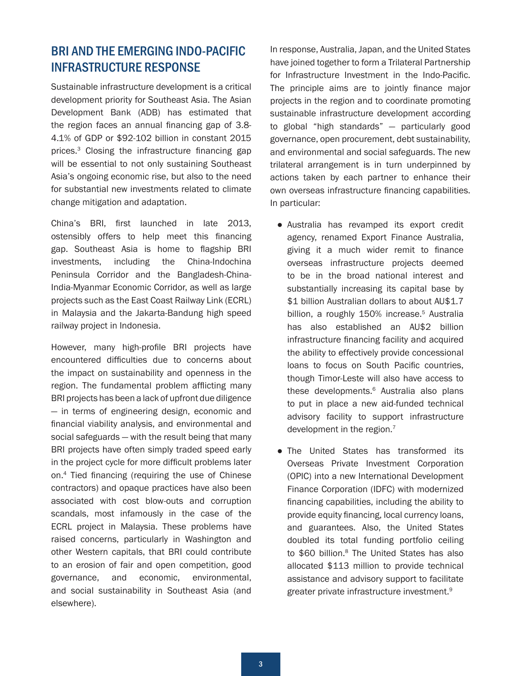## <span id="page-2-0"></span>BRI AND THE EMERGING INDO-PACIFIC INFRASTRUCTURE RESPONSE

Sustainable infrastructure development is a critical development priority for Southeast Asia. The Asian Development Bank (ADB) has estimated that the region faces an annual financing gap of 3.8- 4.1% of GDP or \$92-102 billion in constant 2015 prices.[3](#page-11-0) Closing the infrastructure financing gap will be essential to not only sustaining Southeast Asia's ongoing economic rise, but also to the need for substantial new investments related to climate change mitigation and adaptation.

China's BRI, first launched in late 2013, ostensibly offers to help meet this financing gap. Southeast Asia is home to flagship BRI investments, including the China-Indochina Peninsula Corridor and the Bangladesh-China-India-Myanmar Economic Corridor, as well as large projects such as the East Coast Railway Link (ECRL) in Malaysia and the Jakarta-Bandung high speed railway project in Indonesia.

However, many high-profile BRI projects have encountered difficulties due to concerns about the impact on sustainability and openness in the region. The fundamental problem afflicting many BRI projects has been a lack of upfront due diligence — in terms of engineering design, economic and financial viability analysis, and environmental and social safeguards — with the result being that many BRI projects have often simply traded speed early in the project cycle for more difficult problems later on.[4](#page-11-0) Tied financing (requiring the use of Chinese contractors) and opaque practices have also been associated with cost blow-outs and corruption scandals, most infamously in the case of the ECRL project in Malaysia. These problems have raised concerns, particularly in Washington and other Western capitals, that BRI could contribute to an erosion of fair and open competition, good governance, and economic, environmental, and social sustainability in Southeast Asia (and elsewhere).

In response, Australia, Japan, and the United States have joined together to form a Trilateral Partnership for Infrastructure Investment in the Indo-Pacific. The principle aims are to jointly finance major projects in the region and to coordinate promoting sustainable infrastructure development according to global "high standards" — particularly good governance, open procurement, debt sustainability, and environmental and social safeguards. The new trilateral arrangement is in turn underpinned by actions taken by each partner to enhance their own overseas infrastructure financing capabilities. In particular:

- Australia has revamped its export credit agency, renamed Export Finance Australia, giving it a much wider remit to finance overseas infrastructure projects deemed to be in the broad national interest and substantially increasing its capital base by \$1 billion Australian dollars to about AU\$1.7 billion, a roughly 150% increase.<sup>5</sup> Australia has also established an AU\$2 billion infrastructure financing facility and acquired the ability to effectively provide concessional loans to focus on South Pacific countries, though Timor-Leste will also have access to these developments.<sup>[6](#page-11-0)</sup> Australia also plans to put in place a new aid-funded technical advisory facility to support infrastructure development in the region.<sup>[7](#page-11-0)</sup>
- The United States has transformed its Overseas Private Investment Corporation (OPIC) into a new International Development Finance Corporation (IDFC) with modernized financing capabilities, including the ability to provide equity financing, local currency loans, and guarantees. Also, the United States doubled its total funding portfolio ceiling to \$60 billion.<sup>8</sup> The United States has also allocated \$113 million to provide technical assistance and advisory support to facilitate greater private infrastructure investment[.9](#page-11-0)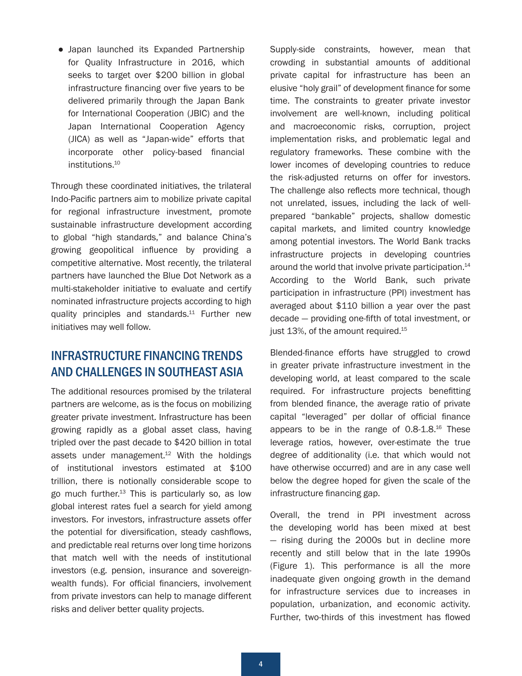<span id="page-3-0"></span>● Japan launched its Expanded Partnership for Quality Infrastructure in 2016, which seeks to target over \$200 billion in global infrastructure financing over five years to be delivered primarily through the Japan Bank for International Cooperation (JBIC) and the Japan International Cooperation Agency (JICA) as well as "Japan-wide" efforts that incorporate other policy-based financial institutions[.10](#page-11-0)

Through these coordinated initiatives, the trilateral Indo-Pacific partners aim to mobilize private capital for regional infrastructure investment, promote sustainable infrastructure development according to global "high standards," and balance China's growing geopolitical influence by providing a competitive alternative. Most recently, the trilateral partners have launched the Blue Dot Network as a multi-stakeholder initiative to evaluate and certify nominated infrastructure projects according to high quality principles and standards.<sup>11</sup> Further new initiatives may well follow.

## INFRASTRUCTURE FINANCING TRENDS AND CHALLENGES IN SOUTHEAST ASIA

The additional resources promised by the trilateral partners are welcome, as is the focus on mobilizing greater private investment. Infrastructure has been growing rapidly as a global asset class, having tripled over the past decade to \$420 billion in total assets under management.<sup>12</sup> With the holdings of institutional investors estimated at \$100 trillion, there is notionally considerable scope to go much further[.13](#page-12-0) This is particularly so, as low global interest rates fuel a search for yield among investors. For investors, infrastructure assets offer the potential for diversification, steady cashflows, and predictable real returns over long time horizons that match well with the needs of institutional investors (e.g. pension, insurance and sovereignwealth funds). For official financiers, involvement from private investors can help to manage different risks and deliver better quality projects.

Supply-side constraints, however, mean that crowding in substantial amounts of additional private capital for infrastructure has been an elusive "holy grail" of development finance for some time. The constraints to greater private investor involvement are well-known, including political and macroeconomic risks, corruption, project implementation risks, and problematic legal and regulatory frameworks. These combine with the lower incomes of developing countries to reduce the risk-adjusted returns on offer for investors. The challenge also reflects more technical, though not unrelated, issues, including the lack of wellprepared "bankable" projects, shallow domestic capital markets, and limited country knowledge among potential investors. The World Bank tracks infrastructure projects in developing countries around the world that involve private participation.<sup>14</sup> According to the World Bank, such private participation in infrastructure (PPI) investment has averaged about \$110 billion a year over the past decade — providing one-fifth of total investment, or just 13%, of the amount required.<sup>15</sup>

Blended-finance efforts have struggled to crowd in greater private infrastructure investment in the developing world, at least compared to the scale required. For infrastructure projects benefitting from blended finance, the average ratio of private capital "leveraged" per dollar of official finance appears to be in the range of 0.8-1.8[.16](#page-12-0) These leverage ratios, however, over-estimate the true degree of additionality (i.e. that which would not have otherwise occurred) and are in any case well below the degree hoped for given the scale of the infrastructure financing gap.

Overall, the trend in PPI investment across the developing world has been mixed at best — rising during the 2000s but in decline more recently and still below that in the late 1990s (Figure 1). This performance is all the more inadequate given ongoing growth in the demand for infrastructure services due to increases in population, urbanization, and economic activity. Further, two-thirds of this investment has flowed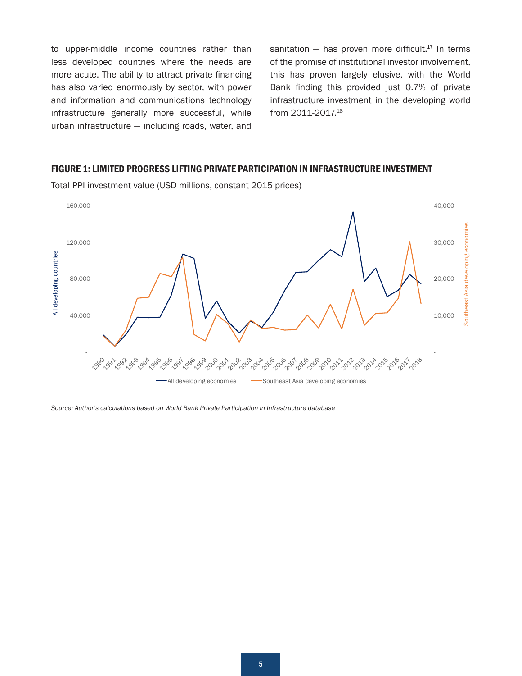<span id="page-4-0"></span>to upper-middle income countries rather than less developed countries where the needs are more acute. The ability to attract private financing has also varied enormously by sector, with power and information and communications technology infrastructure generally more successful, while urban infrastructure — including roads, water, and

sanitation  $-$  has proven more difficult.<sup>17</sup> In terms of the promise of institutional investor involvement, this has proven largely elusive, with the World Bank finding this provided just 0.7% of private infrastructure investment in the developing world from 2011-2017[.18](#page-12-0)

#### FIGURE 1: LIMITED PROGRESS LIFTING PRIVATE PARTICIPATION IN INFRASTRUCTURE INVESTMENT



Total PPI investment value (USD millions, constant 2015 prices)

*Source: Author's calculations based on World Bank Private Participation in Infrastructure database*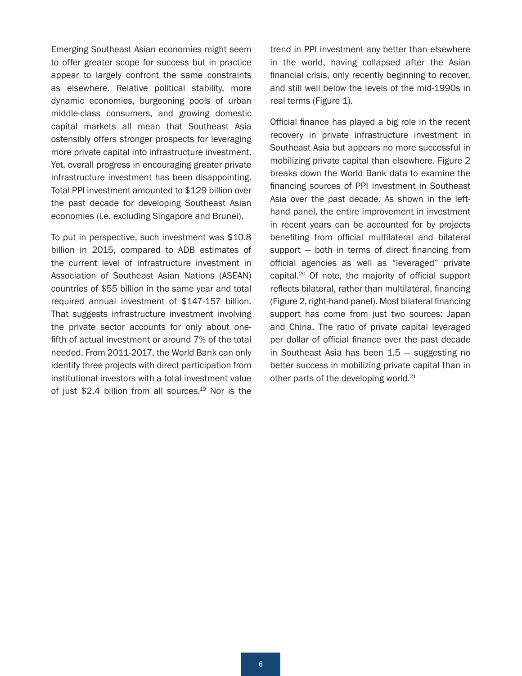<span id="page-5-0"></span>Emerging Southeast Asian economies might seem to offer greater scope for success but in practice appear to largely confront the same constraints as elsewhere. Relative political stability, more dynamic economies, burgeoning pools of urban middle-class consumers, and growing domestic capital markets all mean that Southeast Asia ostensibly offers stronger prospects for leveraging more private capital into infrastructure investment. Yet, overall progress in encouraging greater private infrastructure investment has been disappointing. Total PPI investment amounted to \$129 billion over the past decade for developing Southeast Asian economies (i.e. excluding Singapore and Brunei).

To put in perspective, such investment was \$10.8 billion in 2015, compared to ADB estimates of the current level of infrastructure investment in Association of Southeast Asian Nations (ASEAN) countries of \$55 billion in the same year and total required annual investment of \$147-157 billion. That suggests infrastructure investment involving the private sector accounts for only about onefifth of actual investment or around 7% of the total needed. From 2011-2017, the World Bank can only identify three projects with direct participation from institutional investors with a total investment value of just \$2.4 billion from all sources.<sup>19</sup> Nor is the trend in PPI investment any better than elsewhere in the world, having collapsed after the Asian financial crisis, only recently beginning to recover, and still well below the levels of the mid-1990s in real terms (Figure 1).

Official finance has played a big role in the recent recovery in private infrastructure investment in Southeast Asia but appears no more successful in mobilizing private capital than elsewhere. Figure 2 breaks down the World Bank data to examine the financing sources of PPI investment in Southeast Asia over the past decade. As shown in the lefthand panel, the entire improvement in investment in recent years can be accounted for by projects benefiting from official multilateral and bilateral support — both in terms of direct financing from official agencies as well as "leveraged" private capital.[20](#page-12-0) Of note, the majority of official support reflects bilateral, rather than multilateral, financing (Figure 2, right-hand panel). Most bilateral financing support has come from just two sources: Japan and China. The ratio of private capital leveraged per dollar of official finance over the past decade in Southeast Asia has been 1.5 — suggesting no better success in mobilizing private capital than in other parts of the developing world.<sup>[21](#page-12-0)</sup>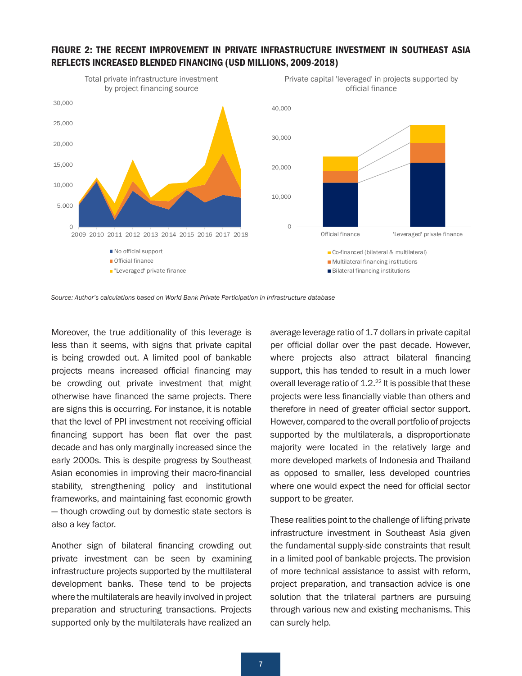

### <span id="page-6-0"></span>FIGURE 2: THE RECENT IMPROVEMENT IN PRIVATE INFRASTRUCTURE INVESTMENT IN SOUTHEAST ASIA REFLECTS INCREASED BLENDED FINANCING (USD MILLIONS, 2009-2018)

*Source: Author's calculations based on World Bank Private Participation in Infrastructure database*

Moreover, the true additionality of this leverage is less than it seems, with signs that private capital is being crowded out. A limited pool of bankable projects means increased official financing may be crowding out private investment that might otherwise have financed the same projects. There are signs this is occurring. For instance, it is notable that the level of PPI investment not receiving official financing support has been flat over the past decade and has only marginally increased since the early 2000s. This is despite progress by Southeast Asian economies in improving their macro-financial stability, strengthening policy and institutional frameworks, and maintaining fast economic growth — though crowding out by domestic state sectors is also a key factor.

Another sign of bilateral financing crowding out private investment can be seen by examining infrastructure projects supported by the multilateral development banks. These tend to be projects where the multilaterals are heavily involved in project preparation and structuring transactions. Projects supported only by the multilaterals have realized an average leverage ratio of 1.7 dollars in private capital per official dollar over the past decade. However, where projects also attract bilateral financing support, this has tended to result in a much lower overall leverage ratio of 1.2.<sup>[22](#page-12-0)</sup> It is possible that these projects were less financially viable than others and therefore in need of greater official sector support. However, compared to the overall portfolio of projects supported by the multilaterals, a disproportionate majority were located in the relatively large and more developed markets of Indonesia and Thailand as opposed to smaller, less developed countries where one would expect the need for official sector support to be greater.

These realities point to the challenge of lifting private infrastructure investment in Southeast Asia given the fundamental supply-side constraints that result in a limited pool of bankable projects. The provision of more technical assistance to assist with reform, project preparation, and transaction advice is one solution that the trilateral partners are pursuing through various new and existing mechanisms. This can surely help.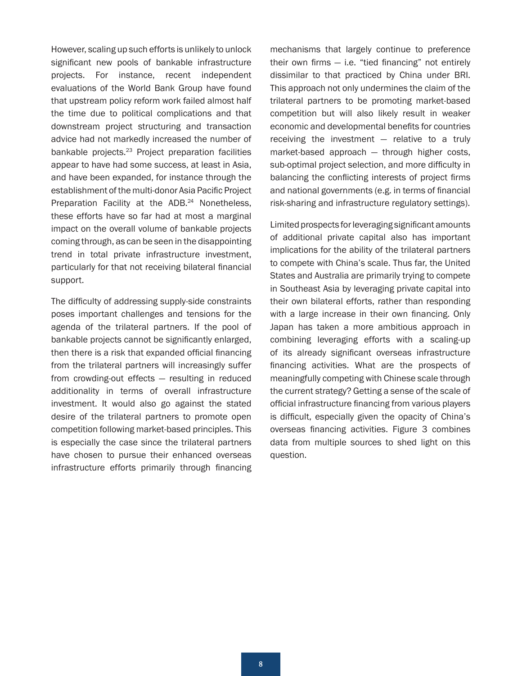<span id="page-7-0"></span>However, scaling up such efforts is unlikely to unlock significant new pools of bankable infrastructure projects. For instance, recent independent evaluations of the World Bank Group have found that upstream policy reform work failed almost half the time due to political complications and that downstream project structuring and transaction advice had not markedly increased the number of bankable projects.<sup>[23](#page-12-0)</sup> Project preparation facilities appear to have had some success, at least in Asia, and have been expanded, for instance through the establishment of the multi-donor Asia Pacific Project Preparation Facility at the ADB.<sup>[24](#page-13-0)</sup> Nonetheless. these efforts have so far had at most a marginal impact on the overall volume of bankable projects coming through, as can be seen in the disappointing trend in total private infrastructure investment, particularly for that not receiving bilateral financial support.

The difficulty of addressing supply-side constraints poses important challenges and tensions for the agenda of the trilateral partners. If the pool of bankable projects cannot be significantly enlarged, then there is a risk that expanded official financing from the trilateral partners will increasingly suffer from crowding-out effects — resulting in reduced additionality in terms of overall infrastructure investment. It would also go against the stated desire of the trilateral partners to promote open competition following market-based principles. This is especially the case since the trilateral partners have chosen to pursue their enhanced overseas infrastructure efforts primarily through financing

mechanisms that largely continue to preference their own firms  $-$  i.e. "tied financing" not entirely dissimilar to that practiced by China under BRI. This approach not only undermines the claim of the trilateral partners to be promoting market-based competition but will also likely result in weaker economic and developmental benefits for countries receiving the investment — relative to a truly market-based approach — through higher costs, sub-optimal project selection, and more difficulty in balancing the conflicting interests of project firms and national governments (e.g. in terms of financial risk-sharing and infrastructure regulatory settings).

Limited prospects for leveraging significant amounts of additional private capital also has important implications for the ability of the trilateral partners to compete with China's scale. Thus far, the United States and Australia are primarily trying to compete in Southeast Asia by leveraging private capital into their own bilateral efforts, rather than responding with a large increase in their own financing. Only Japan has taken a more ambitious approach in combining leveraging efforts with a scaling-up of its already significant overseas infrastructure financing activities. What are the prospects of meaningfully competing with Chinese scale through the current strategy? Getting a sense of the scale of official infrastructure financing from various players is difficult, especially given the opacity of China's overseas financing activities. Figure 3 combines data from multiple sources to shed light on this question.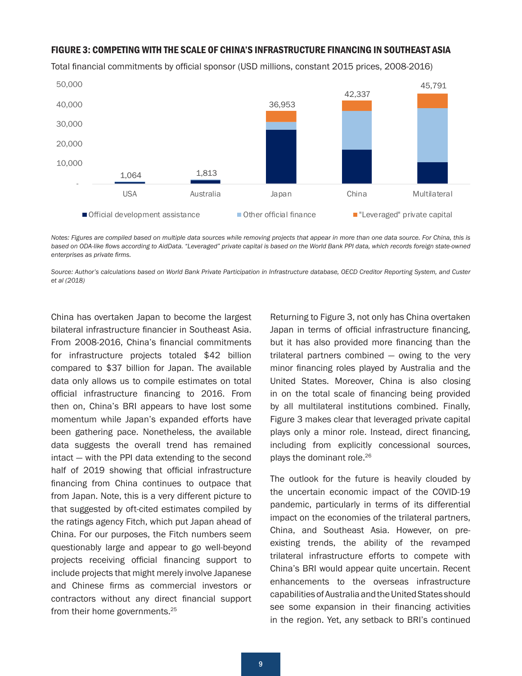#### <span id="page-8-0"></span>FIGURE 3: COMPETING WITH THE SCALE OF CHINA'S INFRASTRUCTURE FINANCING IN SOUTHEAST ASIA

1,064 1,813 36,953 42,337 45,791 - 10,000 20,000 30,000 40,000 50,000

Total financial commitments by official sponsor (USD millions, constant 2015 prices, 2008-2016)

*Notes: Figures are compiled based on multiple data sources while removing projects that appear in more than one data source. For China, this is*  based on ODA-like flows according to AidData. "Leveraged" private capital is based on the World Bank PPI data, which records foreign state-owned *enterprises as private firms.*

■ Official development assistance ■ Other official finance ■ Leveraged" private capital

USA Australia Japan China Multilateral

*Source: Author's calculations based on World Bank Private Participation in Infrastructure database, OECD Creditor Reporting System, and Custer et al (2018)*

China has overtaken Japan to become the largest bilateral infrastructure financier in Southeast Asia. From 2008-2016, China's financial commitments for infrastructure projects totaled \$42 billion compared to \$37 billion for Japan. The available data only allows us to compile estimates on total official infrastructure financing to 2016. From then on, China's BRI appears to have lost some momentum while Japan's expanded efforts have been gathering pace. Nonetheless, the available data suggests the overall trend has remained intact — with the PPI data extending to the second half of 2019 showing that official infrastructure financing from China continues to outpace that from Japan. Note, this is a very different picture to that suggested by oft-cited estimates compiled by the ratings agency Fitch, which put Japan ahead of China. For our purposes, the Fitch numbers seem questionably large and appear to go well-beyond projects receiving official financing support to include projects that might merely involve Japanese and Chinese firms as commercial investors or contractors without any direct financial support from their home governments.<sup>25</sup>

Returning to Figure 3, not only has China overtaken Japan in terms of official infrastructure financing, but it has also provided more financing than the trilateral partners combined — owing to the very minor financing roles played by Australia and the United States. Moreover, China is also closing in on the total scale of financing being provided by all multilateral institutions combined. Finally, Figure 3 makes clear that leveraged private capital plays only a minor role. Instead, direct financing, including from explicitly concessional sources, plays the dominant role.[26](#page-13-0)

The outlook for the future is heavily clouded by the uncertain economic impact of the COVID-19 pandemic, particularly in terms of its differential impact on the economies of the trilateral partners, China, and Southeast Asia. However, on preexisting trends, the ability of the revamped trilateral infrastructure efforts to compete with China's BRI would appear quite uncertain. Recent enhancements to the overseas infrastructure capabilities of Australia and the United States should see some expansion in their financing activities in the region. Yet, any setback to BRI's continued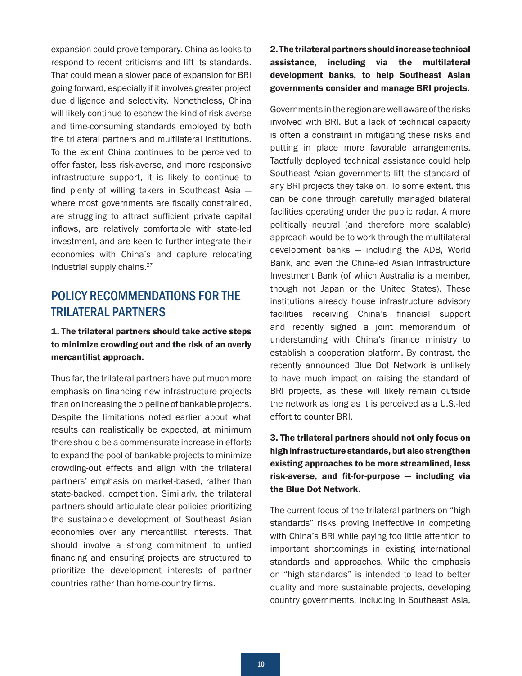<span id="page-9-0"></span>expansion could prove temporary. China as looks to respond to recent criticisms and lift its standards. That could mean a slower pace of expansion for BRI going forward, especially if it involves greater project due diligence and selectivity. Nonetheless, China will likely continue to eschew the kind of risk-averse and time-consuming standards employed by both the trilateral partners and multilateral institutions. To the extent China continues to be perceived to offer faster, less risk-averse, and more responsive infrastructure support, it is likely to continue to find plenty of willing takers in Southeast Asia where most governments are fiscally constrained, are struggling to attract sufficient private capital inflows, are relatively comfortable with state-led investment, and are keen to further integrate their economies with China's and capture relocating industrial supply chains.<sup>[27](#page-13-0)</sup>

## POLICY RECOMMENDATIONS FOR THE TRILATERAL PARTNERS

### 1. The trilateral partners should take active steps to minimize crowding out and the risk of an overly mercantilist approach.

Thus far, the trilateral partners have put much more emphasis on financing new infrastructure projects than on increasing the pipeline of bankable projects. Despite the limitations noted earlier about what results can realistically be expected, at minimum there should be a commensurate increase in efforts to expand the pool of bankable projects to minimize crowding-out effects and align with the trilateral partners' emphasis on market-based, rather than state-backed, competition. Similarly, the trilateral partners should articulate clear policies prioritizing the sustainable development of Southeast Asian economies over any mercantilist interests. That should involve a strong commitment to untied financing and ensuring projects are structured to prioritize the development interests of partner countries rather than home-country firms.

2. The trilateral partners should increase technical assistance, including via the multilateral development banks, to help Southeast Asian governments consider and manage BRI projects.

Governments in the region are well aware of the risks involved with BRI. But a lack of technical capacity is often a constraint in mitigating these risks and putting in place more favorable arrangements. Tactfully deployed technical assistance could help Southeast Asian governments lift the standard of any BRI projects they take on. To some extent, this can be done through carefully managed bilateral facilities operating under the public radar. A more politically neutral (and therefore more scalable) approach would be to work through the multilateral development banks — including the ADB, World Bank, and even the China-led Asian Infrastructure Investment Bank (of which Australia is a member, though not Japan or the United States). These institutions already house infrastructure advisory facilities receiving China's financial support and recently signed a joint memorandum of understanding with China's finance ministry to establish a cooperation platform. By contrast, the recently announced Blue Dot Network is unlikely to have much impact on raising the standard of BRI projects, as these will likely remain outside the network as long as it is perceived as a U.S.-led effort to counter BRI.

3. The trilateral partners should not only focus on high infrastructure standards, but also strengthen existing approaches to be more streamlined, less risk-averse, and fit-for-purpose — including via the Blue Dot Network.

The current focus of the trilateral partners on "high standards" risks proving ineffective in competing with China's BRI while paying too little attention to important shortcomings in existing international standards and approaches. While the emphasis on "high standards" is intended to lead to better quality and more sustainable projects, developing country governments, including in Southeast Asia,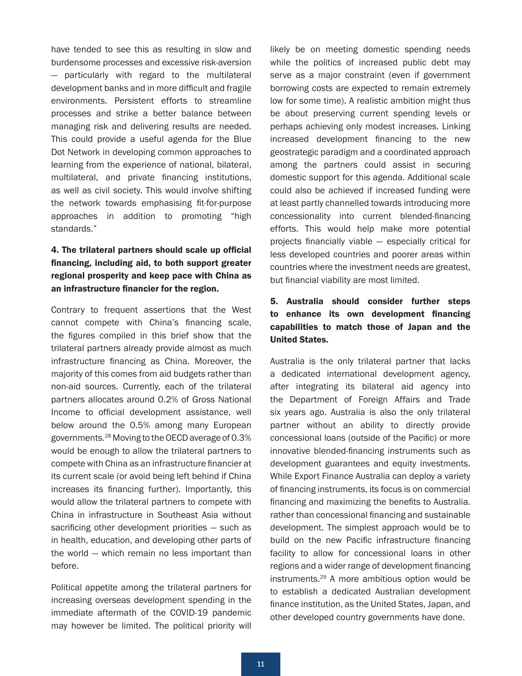<span id="page-10-0"></span>have tended to see this as resulting in slow and burdensome processes and excessive risk-aversion — particularly with regard to the multilateral development banks and in more difficult and fragile environments. Persistent efforts to streamline processes and strike a better balance between managing risk and delivering results are needed. This could provide a useful agenda for the Blue Dot Network in developing common approaches to learning from the experience of national, bilateral, multilateral, and private financing institutions, as well as civil society. This would involve shifting the network towards emphasising fit-for-purpose approaches in addition to promoting "high standards."

### 4. The trilateral partners should scale up official financing, including aid, to both support greater regional prosperity and keep pace with China as an infrastructure financier for the region.

Contrary to frequent assertions that the West cannot compete with China's financing scale, the figures compiled in this brief show that the trilateral partners already provide almost as much infrastructure financing as China. Moreover, the majority of this comes from aid budgets rather than non-aid sources. Currently, each of the trilateral partners allocates around 0.2% of Gross National Income to official development assistance, well below around the 0.5% among many European governments.[28](#page-13-0) Moving to the OECD average of 0.3% would be enough to allow the trilateral partners to compete with China as an infrastructure financier at its current scale (or avoid being left behind if China increases its financing further). Importantly, this would allow the trilateral partners to compete with China in infrastructure in Southeast Asia without sacrificing other development priorities — such as in health, education, and developing other parts of the world — which remain no less important than before.

Political appetite among the trilateral partners for increasing overseas development spending in the immediate aftermath of the COVID-19 pandemic may however be limited. The political priority will

likely be on meeting domestic spending needs while the politics of increased public debt may serve as a major constraint (even if government borrowing costs are expected to remain extremely low for some time). A realistic ambition might thus be about preserving current spending levels or perhaps achieving only modest increases. Linking increased development financing to the new geostrategic paradigm and a coordinated approach among the partners could assist in securing domestic support for this agenda. Additional scale could also be achieved if increased funding were at least partly channelled towards introducing more concessionality into current blended-financing efforts. This would help make more potential projects financially viable — especially critical for less developed countries and poorer areas within countries where the investment needs are greatest, but financial viability are most limited.

### 5. Australia should consider further steps to enhance its own development financing capabilities to match those of Japan and the United States.

Australia is the only trilateral partner that lacks a dedicated international development agency, after integrating its bilateral aid agency into the Department of Foreign Affairs and Trade six years ago. Australia is also the only trilateral partner without an ability to directly provide concessional loans (outside of the Pacific) or more innovative blended-financing instruments such as development guarantees and equity investments. While Export Finance Australia can deploy a variety of financing instruments, its focus is on commercial financing and maximizing the benefits to Australia. rather than concessional financing and sustainable development. The simplest approach would be to build on the new Pacific infrastructure financing facility to allow for concessional loans in other regions and a wider range of development financing instruments[.29](#page-13-0) A more ambitious option would be to establish a dedicated Australian development finance institution, as the United States, Japan, and other developed country governments have done.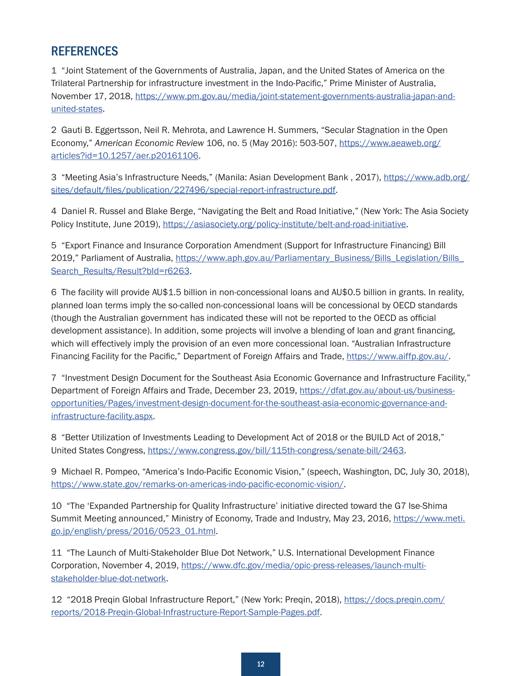### <span id="page-11-0"></span>**REFERENCES**

[1](#page-1-0) "Joint Statement of the Governments of Australia, Japan, and the United States of America on the Trilateral Partnership for infrastructure investment in the Indo-Pacific," Prime Minister of Australia, November 17, 2018, [https://www.pm.gov.au/media/joint-statement-governments-australia-japan-and](https://www.pm.gov.au/media/joint-statement-governments-australia-japan-and-united-states)[united-states](https://www.pm.gov.au/media/joint-statement-governments-australia-japan-and-united-states).

[2](#page-1-0) Gauti B. Eggertsson, Neil R. Mehrota, and Lawrence H. Summers, "Secular Stagnation in the Open Economy," *American Economic Review* 106, no. 5 (May 2016): 503-507, [https://www.aeaweb.org/](https://www.aeaweb.org/articles?id=10.1257/aer.p20161106) [articles?id=10.1257/aer.p20161106.](https://www.aeaweb.org/articles?id=10.1257/aer.p20161106)

[3](#page-2-0) "Meeting Asia's Infrastructure Needs," (Manila: Asian Development Bank , 2017), [https://www.adb.org/](https://www.adb.org/sites/default/files/publication/227496/special-report-infrastructure.pdf) [sites/default/files/publication/227496/special-report-infrastructure.pdf.](https://www.adb.org/sites/default/files/publication/227496/special-report-infrastructure.pdf)

[4](#page-2-0) Daniel R. Russel and Blake Berge, "Navigating the Belt and Road Initiative," (New York: The Asia Society Policy Institute, June 2019), [https://asiasociety.org/policy-institute/belt-and-road-initiative.](https://asiasociety.org/policy-institute/belt-and-road-initiative)

[5](#page-2-0) "Export Finance and Insurance Corporation Amendment (Support for Infrastructure Financing) Bill 2019," Parliament of Australia, https://www.aph.gov.au/Parliamentary\_Business/Bills\_Legislation/Bills\_ Search\_Results/Result?bId=r6263.

[6](#page-2-0) The facility will provide AU\$1.5 billion in non-concessional loans and AU\$0.5 billion in grants. In reality, planned loan terms imply the so-called non-concessional loans will be concessional by OECD standards (though the Australian government has indicated these will not be reported to the OECD as official development assistance). In addition, some projects will involve a blending of loan and grant financing, which will effectively imply the provision of an even more concessional loan. "Australian Infrastructure Financing Facility for the Pacific," Department of Foreign Affairs and Trade, <https://www.aiffp.gov.au/>.

[7](#page-2-0) "Investment Design Document for the Southeast Asia Economic Governance and Infrastructure Facility," Department of Foreign Affairs and Trade, December 23, 2019, [https://dfat.gov.au/about-us/business](https://dfat.gov.au/about-us/business-opportunities/Pages/investment-design-document-for-the-southeast-asia-economic-governance-and-infrastructure-facility.aspx)[opportunities/Pages/investment-design-document-for-the-southeast-asia-economic-governance-and](https://dfat.gov.au/about-us/business-opportunities/Pages/investment-design-document-for-the-southeast-asia-economic-governance-and-infrastructure-facility.aspx)[infrastructure-facility.aspx](https://dfat.gov.au/about-us/business-opportunities/Pages/investment-design-document-for-the-southeast-asia-economic-governance-and-infrastructure-facility.aspx).

[8](#page-2-0) "Better Utilization of Investments Leading to Development Act of 2018 or the BUILD Act of 2018." United States Congress, [https://www.congress.gov/bill/115th-congress/senate-bill/2463.](https://www.congress.gov/bill/115th-congress/senate-bill/2463)

[9](#page-2-0) Michael R. Pompeo, "America's Indo-Pacific Economic Vision," (speech, Washington, DC, July 30, 2018), <https://www.state.gov/remarks-on-americas-indo-pacific-economic-vision/>.

[10](#page-3-0) "The 'Expanded Partnership for Quality Infrastructure' initiative directed toward the G7 Ise-Shima Summit Meeting announced," Ministry of Economy, Trade and Industry, May 23, 2016, [https://www.meti.](https://www.meti.go.jp/english/press/2016/0523_01.html) [go.jp/english/press/2016/0523\\_01.html](https://www.meti.go.jp/english/press/2016/0523_01.html).

[11](#page-3-0) "The Launch of Multi-Stakeholder Blue Dot Network," U.S. International Development Finance Corporation, November 4, 2019, [https://www.dfc.gov/media/opic-press-releases/launch-multi](https://www.dfc.gov/media/opic-press-releases/launch-multi-stakeholder-blue-dot-network)[stakeholder-blue-dot-network.](https://www.dfc.gov/media/opic-press-releases/launch-multi-stakeholder-blue-dot-network)

[12](#page-3-0) "2018 Preqin Global Infrastructure Report," (New York: Preqin, 2018), [https://docs.preqin.com/](https://docs.preqin.com/reports/2018-Preqin-Global-Infrastructure-Report-Sample-Pages.pdf) [reports/2018-Preqin-Global-Infrastructure-Report-Sample-Pages.pdf](https://docs.preqin.com/reports/2018-Preqin-Global-Infrastructure-Report-Sample-Pages.pdf).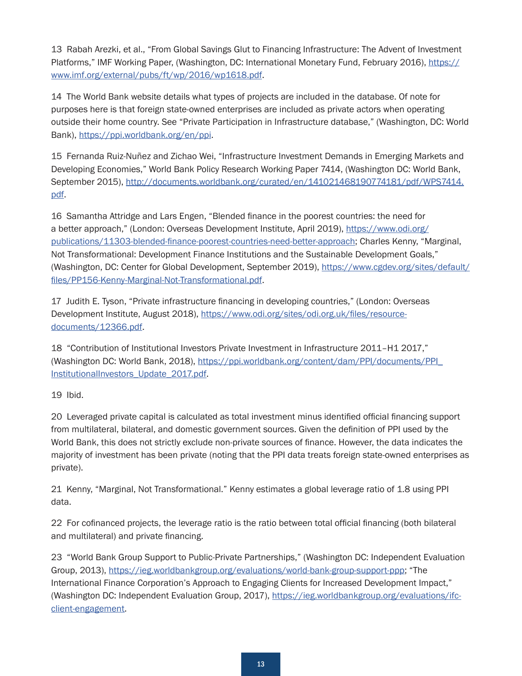<span id="page-12-0"></span>[13](#page-3-0) Rabah Arezki, et al., "From Global Savings Glut to Financing Infrastructure: The Advent of Investment Platforms," IMF Working Paper, (Washington, DC: International Monetary Fund, February 2016), [https://](https://www.imf.org/external/pubs/ft/wp/2016/wp1618.pdf) [www.imf.org/external/pubs/ft/wp/2016/wp1618.pdf.](https://www.imf.org/external/pubs/ft/wp/2016/wp1618.pdf)

[14](#page-3-0) The World Bank website details what types of projects are included in the database. Of note for purposes here is that foreign state-owned enterprises are included as private actors when operating outside their home country. See "Private Participation in Infrastructure database," (Washington, DC: World Bank), [https://ppi.worldbank.org/en/ppi.](https://ppi.worldbank.org/en/ppi)

[15](#page-3-0) Fernanda Ruiz-Nuñez and Zichao Wei, "Infrastructure Investment Demands in Emerging Markets and Developing Economies," World Bank Policy Research Working Paper 7414, (Washington DC: World Bank, September 2015), [http://documents.worldbank.org/curated/en/141021468190774181/pdf/WPS7414.](http://documents.worldbank.org/curated/en/141021468190774181/pdf/WPS7414.pdf) [pdf](http://documents.worldbank.org/curated/en/141021468190774181/pdf/WPS7414.pdf).

[16](#page-3-0) Samantha Attridge and Lars Engen, "Blended finance in the poorest countries: the need for a better approach," (London: Overseas Development Institute, April 2019), [https://www.odi.org/](https://www.odi.org/publications/11303-blended-finance-poorest-countries-need-better-approach) [publications/11303-blended-finance-poorest-countries-need-better-approach;](https://www.odi.org/publications/11303-blended-finance-poorest-countries-need-better-approach) Charles Kenny, "Marginal, Not Transformational: Development Finance Institutions and the Sustainable Development Goals," (Washington, DC: Center for Global Development, September 2019), [https://www.cgdev.org/sites/default/](https://www.cgdev.org/sites/default/files/PP156-Kenny-Marginal-Not-Transformational.pdf) [files/PP156-Kenny-Marginal-Not-Transformational.pdf](https://www.cgdev.org/sites/default/files/PP156-Kenny-Marginal-Not-Transformational.pdf).

[17](#page-4-0) Judith E. Tyson, "Private infrastructure financing in developing countries," (London: Overseas Development Institute, August 2018), [https://www.odi.org/sites/odi.org.uk/files/resource](https://www.odi.org/sites/odi.org.uk/files/resource-documents/12366.pdf)[documents/12366.pdf.](https://www.odi.org/sites/odi.org.uk/files/resource-documents/12366.pdf)

[18](#page-4-0) "Contribution of Institutional Investors Private Investment in Infrastructure 2011–H1 2017," (Washington DC: World Bank, 2018), [https://ppi.worldbank.org/content/dam/PPI/documents/PPI\\_](https://ppi.worldbank.org/content/dam/PPI/documents/PPI_InstitutionalInvestors_Update_2017.pdf) [InstitutionalInvestors\\_Update\\_2017.pdf](https://ppi.worldbank.org/content/dam/PPI/documents/PPI_InstitutionalInvestors_Update_2017.pdf).

[19](#page-5-0) Ibid.

[20](#page-5-0) Leveraged private capital is calculated as total investment minus identified official financing support from multilateral, bilateral, and domestic government sources. Given the definition of PPI used by the World Bank, this does not strictly exclude non-private sources of finance. However, the data indicates the majority of investment has been private (noting that the PPI data treats foreign state-owned enterprises as private).

[21](#page-5-0) Kenny, "Marginal, Not Transformational." Kenny estimates a global leverage ratio of 1.8 using PPI data.

[22](#page-6-0) For cofinanced projects, the leverage ratio is the ratio between total official financing (both bilateral and multilateral) and private financing.

[23](#page-7-0) "World Bank Group Support to Public-Private Partnerships," (Washington DC: Independent Evaluation Group, 2013), [https://ieg.worldbankgroup.org/evaluations/world-bank-group-support-ppp;](https://ieg.worldbankgroup.org/evaluations/world-bank-group-support-ppp) "The International Finance Corporation's Approach to Engaging Clients for Increased Development Impact," (Washington DC: Independent Evaluation Group, 2017), [https://ieg.worldbankgroup.org/evaluations/ifc](https://ieg.worldbankgroup.org/evaluations/ifc-client-engagement)[client-engagement](https://ieg.worldbankgroup.org/evaluations/ifc-client-engagement).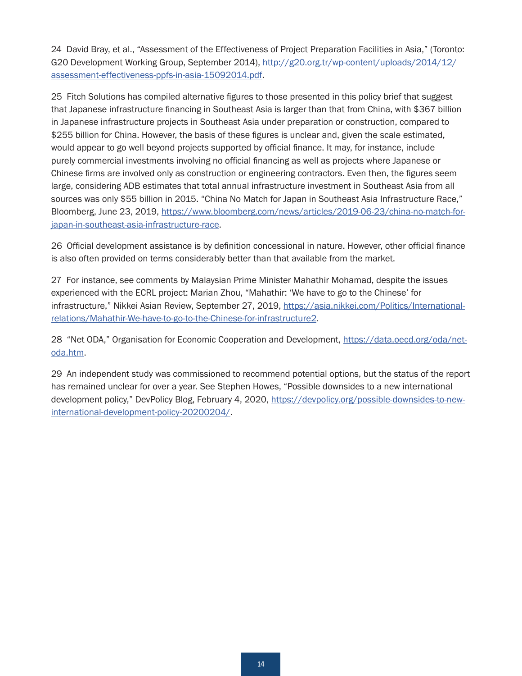<span id="page-13-0"></span>[24](#page-7-0) David Bray, et al., "Assessment of the Effectiveness of Project Preparation Facilities in Asia," (Toronto: G20 Development Working Group, September 2014), [http://g20.org.tr/wp-content/uploads/2014/12/](http://g20.org.tr/wp-content/uploads/2014/12/assessment-effectiveness-ppfs-in-asia-15092014.pdf) [assessment-effectiveness-ppfs-in-asia-15092014.pdf.](http://g20.org.tr/wp-content/uploads/2014/12/assessment-effectiveness-ppfs-in-asia-15092014.pdf)

[25](#page-8-0) Fitch Solutions has compiled alternative figures to those presented in this policy brief that suggest that Japanese infrastructure financing in Southeast Asia is larger than that from China, with \$367 billion in Japanese infrastructure projects in Southeast Asia under preparation or construction, compared to \$255 billion for China. However, the basis of these figures is unclear and, given the scale estimated, would appear to go well beyond projects supported by official finance. It may, for instance, include purely commercial investments involving no official financing as well as projects where Japanese or Chinese firms are involved only as construction or engineering contractors. Even then, the figures seem large, considering ADB estimates that total annual infrastructure investment in Southeast Asia from all sources was only \$55 billion in 2015. "China No Match for Japan in Southeast Asia Infrastructure Race," Bloomberg, June 23, 2019, [https://www.bloomberg.com/news/articles/2019-06-23/china-no-match-for](https://www.bloomberg.com/news/articles/2019-06-23/china-no-match-for-japan-in-southeast-asia-infrastructure-race)[japan-in-southeast-asia-infrastructure-race](https://www.bloomberg.com/news/articles/2019-06-23/china-no-match-for-japan-in-southeast-asia-infrastructure-race).

[26](#page-8-0) Official development assistance is by definition concessional in nature. However, other official finance is also often provided on terms considerably better than that available from the market.

[27](#page-9-0) For instance, see comments by Malaysian Prime Minister Mahathir Mohamad, despite the issues experienced with the ECRL project: Marian Zhou, "Mahathir: 'We have to go to the Chinese' for infrastructure," Nikkei Asian Review, September 27, 2019, [https://asia.nikkei.com/Politics/International](https://asia.nikkei.com/Politics/International-relations/Mahathir-We-have-to-go-to-the-Chinese-for-infrastructure2)[relations/Mahathir-We-have-to-go-to-the-Chinese-for-infrastructure2](https://asia.nikkei.com/Politics/International-relations/Mahathir-We-have-to-go-to-the-Chinese-for-infrastructure2).

[28](#page-10-0) "Net ODA," Organisation for Economic Cooperation and Development, [https://data.oecd.org/oda/net](https://data.oecd.org/oda/net-oda.htm)[oda.htm](https://data.oecd.org/oda/net-oda.htm).

[29](#page-10-0) An independent study was commissioned to recommend potential options, but the status of the report has remained unclear for over a year. See Stephen Howes, "Possible downsides to a new international development policy," DevPolicy Blog, February 4, 2020, [https://devpolicy.org/possible-downsides-to-new](https://devpolicy.org/possible-downsides-to-new-international-development-policy-20200204/)[international-development-policy-20200204/](https://devpolicy.org/possible-downsides-to-new-international-development-policy-20200204/).